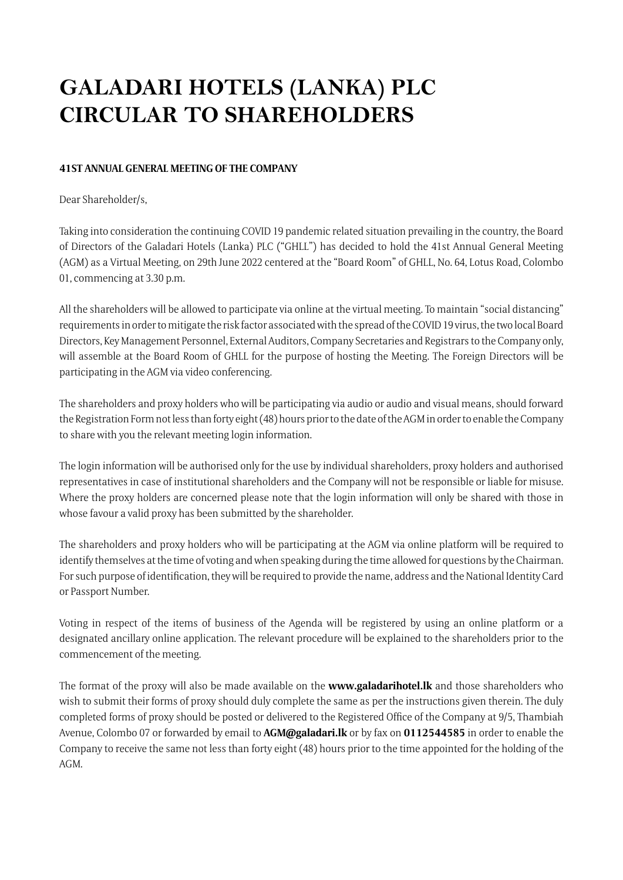## **GALADARI HOTELS (LANKA) PLC CIRCULAR TO SHAREHOLDERS**

## **41ST ANNUAL GENERAL MEETING OF THE COMPANY**

Dear Shareholder/s,

Taking into consideration the continuing COVID 19 pandemic related situation prevailing in the country, the Board of Directors of the Galadari Hotels (Lanka) PLC ("GHLL") has decided to hold the 41st Annual General Meeting (AGM) as a Virtual Meeting, on 29th June 2022 centered at the "Board Room" of GHLL, No. 64, Lotus Road, Colombo 01, commencing at 3.30 p.m.

All the shareholders will be allowed to participate via online at the virtual meeting. To maintain "social distancing" requirements in order to mitigate the risk factor associated with the spread of the COVID 19 virus, the two local Board Directors, Key Management Personnel, External Auditors, Company Secretaries and Registrars to the Company only, will assemble at the Board Room of GHLL for the purpose of hosting the Meeting. The Foreign Directors will be participating in the AGM via video conferencing.

The shareholders and proxy holders who will be participating via audio or audio and visual means, should forward the Registration Form not less than forty eight (48) hours prior to the date of the AGM in order to enable the Company to share with you the relevant meeting login information.

The login information will be authorised only for the use by individual shareholders, proxy holders and authorised representatives in case of institutional shareholders and the Company will not be responsible or liable for misuse. Where the proxy holders are concerned please note that the login information will only be shared with those in whose favour a valid proxy has been submitted by the shareholder.

The shareholders and proxy holders who will be participating at the AGM via online platform will be required to identify themselves at the time of voting and when speaking during the time allowed for questions by the Chairman. For such purpose of identification, they will be required to provide the name, address and the National Identity Card or Passport Number.

Voting in respect of the items of business of the Agenda will be registered by using an online platform or a designated ancillary online application. The relevant procedure will be explained to the shareholders prior to the commencement of the meeting.

The format of the proxy will also be made available on the **www.galadarihotel.lk** and those shareholders who wish to submit their forms of proxy should duly complete the same as per the instructions given therein. The duly completed forms of proxy should be posted or delivered to the Registered Office of the Company at 9/5, Thambiah Avenue, Colombo 07 or forwarded by email to **AGM@galadari.lk** or by fax on **0112544585** in order to enable the Company to receive the same not less than forty eight (48) hours prior to the time appointed for the holding of the AGM.